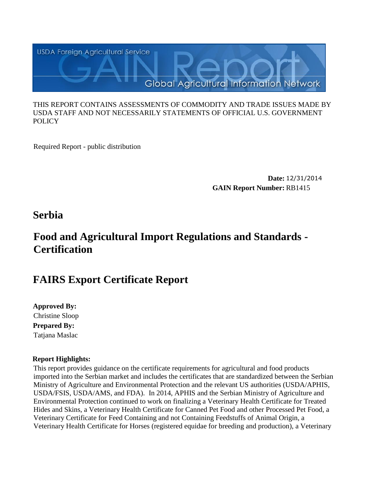

#### THIS REPORT CONTAINS ASSESSMENTS OF COMMODITY AND TRADE ISSUES MADE BY USDA STAFF AND NOT NECESSARILY STATEMENTS OF OFFICIAL U.S. GOVERNMENT POLICY

Required Report - public distribution

**Date:** 12/31/2014 **GAIN Report Number:** RB1415

## **Serbia**

# **Food and Agricultural Import Regulations and Standards - Certification**

## **FAIRS Export Certificate Report**

**Approved By: Prepared By:** Tatjana Maslac Christine Sloop

## **Report Highlights:**

This report provides guidance on the certificate requirements for agricultural and food products imported into the Serbian market and includes the certificates that are standardized between the Serbian Ministry of Agriculture and Environmental Protection and the relevant US authorities (USDA/APHIS, USDA/FSIS, USDA/AMS, and FDA). In 2014, APHIS and the Serbian Ministry of Agriculture and Environmental Protection continued to work on finalizing a Veterinary Health Certificate for Treated Hides and Skins, a Veterinary Health Certificate for Canned Pet Food and other Processed Pet Food, a Veterinary Certificate for Feed Containing and not Containing Feedstuffs of Animal Origin, a Veterinary Health Certificate for Horses (registered equidae for breeding and production), a Veterinary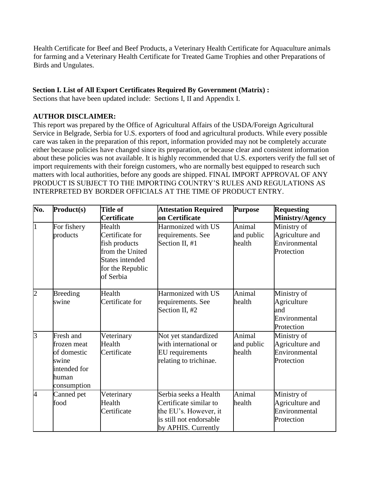Health Certificate for Beef and Beef Products, a Veterinary Health Certificate for Aquaculture animals for farming and a Veterinary Health Certificate for Treated Game Trophies and other Preparations of Birds and Ungulates.

## **Section I. List of All Export Certificates Required By Government (Matrix) :**

Sections that have been updated include: Sections I, II and Appendix I.

## **AUTHOR DISCLAIMER:**

This report was prepared by the Office of Agricultural Affairs of the USDA/Foreign Agricultural Service in Belgrade, Serbia for U.S. exporters of food and agricultural products. While every possible care was taken in the preparation of this report, information provided may not be completely accurate either because policies have changed since its preparation, or because clear and consistent information about these policies was not available. It is highly recommended that U.S. exporters verify the full set of import requirements with their foreign customers, who are normally best equipped to research such matters with local authorities, before any goods are shipped. FINAL IMPORT APPROVAL OF ANY PRODUCT IS SUBJECT TO THE IMPORTING COUNTRY'S RULES AND REGULATIONS AS INTERPRETED BY BORDER OFFICIALS AT THE TIME OF PRODUCT ENTRY.

| No.            | Product(s)                                                                               | <b>Title of</b><br>Certificate                                                                                    | <b>Attestation Required</b><br>on Certificate                                                                              | <b>Purpose</b>                 | <b>Requesting</b><br>Ministry/Agency                             |
|----------------|------------------------------------------------------------------------------------------|-------------------------------------------------------------------------------------------------------------------|----------------------------------------------------------------------------------------------------------------------------|--------------------------------|------------------------------------------------------------------|
| I1             | For fishery<br>products                                                                  | Health<br>Certificate for<br>fish products<br>from the United<br>States intended<br>for the Republic<br>of Serbia | Harmonized with US<br>requirements. See<br>Section II, #1                                                                  | Animal<br>and public<br>health | Ministry of<br>Agriculture and<br>Environmental<br>Protection    |
| $\overline{2}$ | <b>Breeding</b><br>swine                                                                 | Health<br>Certificate for                                                                                         | Harmonized with US<br>requirements. See<br>Section II, #2                                                                  | Animal<br>health               | Ministry of<br>Agriculture<br>and<br>Environmental<br>Protection |
| $\overline{3}$ | Fresh and<br>frozen meat<br>of domestic<br>swine<br>intended for<br>human<br>consumption | Veterinary<br>Health<br>Certificate                                                                               | Not yet standardized<br>with international or<br><b>EU</b> requirements<br>relating to trichinae.                          | Animal<br>and public<br>health | Ministry of<br>Agriculture and<br>Environmental<br>Protection    |
| 4              | Canned pet<br>food                                                                       | Veterinary<br>Health<br>Certificate                                                                               | Serbia seeks a Health<br>Certificate similar to<br>the EU's. However, it<br>is still not endorsable<br>by APHIS. Currently | Animal<br>health               | Ministry of<br>Agriculture and<br>Environmental<br>Protection    |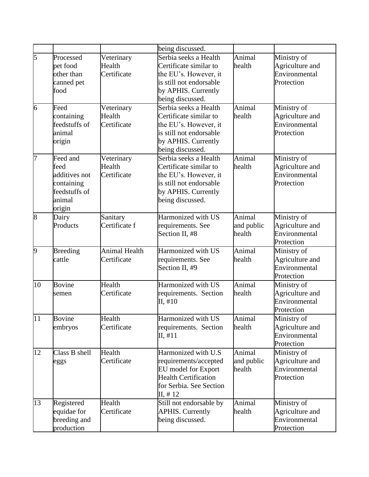|                |                 |                      | being discussed.            |            |                 |
|----------------|-----------------|----------------------|-----------------------------|------------|-----------------|
| 5              | Processed       | Veterinary           | Serbia seeks a Health       | Animal     | Ministry of     |
|                | pet food        | Health               | Certificate similar to      | health     | Agriculture and |
|                | other than      | Certificate          | the EU's. However, it       |            | Environmental   |
|                | canned pet      |                      | is still not endorsable     |            | Protection      |
|                | food            |                      | by APHIS. Currently         |            |                 |
|                |                 |                      | being discussed.            |            |                 |
| 6              | Feed            | Veterinary           | Serbia seeks a Health       | Animal     | Ministry of     |
|                | containing      | Health               | Certificate similar to      | health     | Agriculture and |
|                | feedstuffs of   | Certificate          | the EU's. However, it       |            | Environmental   |
|                | animal          |                      | is still not endorsable     |            | Protection      |
|                |                 |                      |                             |            |                 |
|                | origin          |                      | by APHIS. Currently         |            |                 |
|                |                 |                      | being discussed.            |            |                 |
| 7              | Feed and        | Veterinary           | Serbia seeks a Health       | Animal     | Ministry of     |
|                | feed            | Health               | Certificate similar to      | health     | Agriculture and |
|                | additives not   | Certificate          | the EU's. However, it       |            | Environmental   |
|                | containing      |                      | is still not endorsable     |            | Protection      |
|                | feedstuffs of   |                      | by APHIS. Currently         |            |                 |
|                | animal          |                      | being discussed.            |            |                 |
|                | origin          |                      |                             |            |                 |
| 8              | Dairy           | Sanitary             | Harmonized with US          | Animal     | Ministry of     |
|                | Products        | Certificate f        | requirements. See           | and public | Agriculture and |
|                |                 |                      | Section II, #8              | health     | Environmental   |
|                |                 |                      |                             |            | Protection      |
| $\overline{9}$ | <b>Breeding</b> | <b>Animal Health</b> | Harmonized with US          | Animal     | Ministry of     |
|                | cattle          | Certificate          | requirements. See           | health     | Agriculture and |
|                |                 |                      | Section II, #9              |            | Environmental   |
|                |                 |                      |                             |            | Protection      |
| 10             | <b>Bovine</b>   | Health               | Harmonized with US          | Animal     | Ministry of     |
|                | semen           | Certificate          | requirements. Section       | health     | Agriculture and |
|                |                 |                      | II, #10                     |            | Environmental   |
|                |                 |                      |                             |            | Protection      |
| 11             | <b>Bovine</b>   | Health               | Harmonized with US          | Animal     | Ministry of     |
|                | embryos         | Certificate          | requirements. Section       | health     | Agriculture and |
|                |                 |                      | II, #11                     |            | Environmental   |
|                |                 |                      |                             |            | Protection      |
| 12             | Class B shell   | Health               | Harmonized with U.S         | Animal     | Ministry of     |
|                | eggs            | Certificate          | requirements/accepted       | and public | Agriculture and |
|                |                 |                      | EU model for Export         | health     | Environmental   |
|                |                 |                      | <b>Health Certification</b> |            | Protection      |
|                |                 |                      | for Serbia. See Section     |            |                 |
|                |                 |                      | II, #12                     |            |                 |
| 13             | Registered      | Health               | Still not endorsable by     | Animal     | Ministry of     |
|                | equidae for     | Certificate          | <b>APHIS. Currently</b>     | health     | Agriculture and |
|                |                 |                      |                             |            | Environmental   |
|                | breeding and    |                      | being discussed.            |            |                 |
|                | production      |                      |                             |            | Protection      |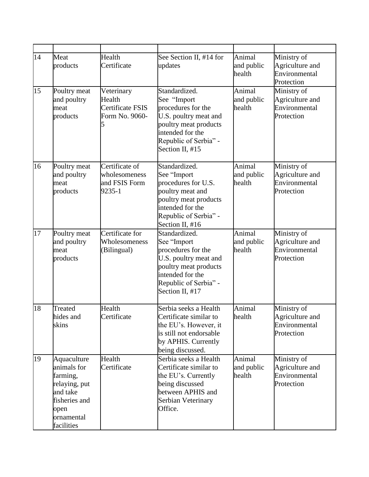| 14 | Meat<br>products                                                                                                         | Health<br>Certificate                                             | See Section II, #14 for<br>updates                                                                                                                                   | Animal<br>and public<br>health | Ministry of<br>Agriculture and<br>Environmental<br>Protection |
|----|--------------------------------------------------------------------------------------------------------------------------|-------------------------------------------------------------------|----------------------------------------------------------------------------------------------------------------------------------------------------------------------|--------------------------------|---------------------------------------------------------------|
| 15 | Poultry meat<br>and poultry<br>meat<br>products                                                                          | Veterinary<br>Health<br><b>Certificate FSIS</b><br>Form No. 9060- | Standardized.<br>See "Import<br>procedures for the<br>U.S. poultry meat and<br>poultry meat products<br>intended for the<br>Republic of Serbia" -<br>Section II, #15 | Animal<br>and public<br>health | Ministry of<br>Agriculture and<br>Environmental<br>Protection |
| 16 | Poultry meat<br>and poultry<br>meat<br>products                                                                          | Certificate of<br>wholesomeness<br>and FSIS Form<br>9235-1        | Standardized.<br>See "Import<br>procedures for U.S.<br>poultry meat and<br>poultry meat products<br>intended for the<br>Republic of Serbia" -<br>Section II, #16     | Animal<br>and public<br>health | Ministry of<br>Agriculture and<br>Environmental<br>Protection |
| 17 | Poultry meat<br>and poultry<br>meat<br>products                                                                          | Certificate for<br>Wholesomeness<br>(Bilingual)                   | Standardized.<br>See "Import<br>procedures for the<br>U.S. poultry meat and<br>poultry meat products<br>intended for the<br>Republic of Serbia" -<br>Section II, #17 | Animal<br>and public<br>health | Ministry of<br>Agriculture and<br>Environmental<br>Protection |
| 18 | Treated<br>hides and<br>skins                                                                                            | Health<br>Certificate                                             | Serbia seeks a Health<br>Certificate similar to<br>the EU's. However, it<br>is still not endorsable<br>by APHIS. Currently<br>being discussed.                       | Animal<br>health               | Ministry of<br>Agriculture and<br>Environmental<br>Protection |
| 19 | Aquaculture<br>animals for<br>farming,<br>relaying, put<br>and take<br>fisheries and<br>open<br>ornamental<br>facilities | Health<br>Certificate                                             | Serbia seeks a Health<br>Certificate similar to<br>the EU's. Currently<br>being discussed<br>between APHIS and<br>Serbian Veterinary<br>Office.                      | Animal<br>and public<br>health | Ministry of<br>Agriculture and<br>Environmental<br>Protection |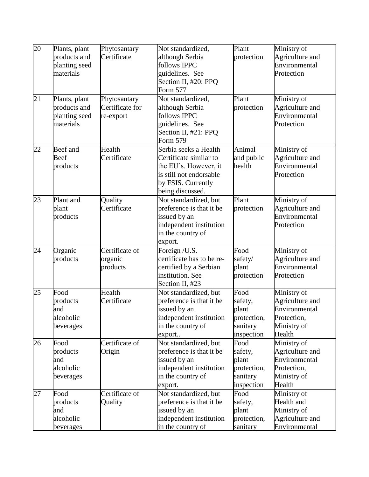| 20 | Plants, plant | Phytosantary           | Not standardized,                                 | Plant       | Ministry of                      |
|----|---------------|------------------------|---------------------------------------------------|-------------|----------------------------------|
|    | products and  | Certificate            | although Serbia                                   | protection  | Agriculture and                  |
|    | planting seed |                        | follows IPPC                                      |             | Environmental                    |
|    | materials     |                        | guidelines. See                                   |             | Protection                       |
|    |               |                        | Section II, #20: PPQ                              |             |                                  |
|    |               |                        | <b>Form 577</b>                                   |             |                                  |
| 21 | Plants, plant | Phytosantary           | Not standardized,                                 | Plant       | Ministry of                      |
|    | products and  | Certificate for        | although Serbia                                   | protection  | Agriculture and                  |
|    | planting seed | re-export              | follows IPPC                                      |             | Environmental                    |
|    | materials     |                        | guidelines. See                                   |             | Protection                       |
|    |               |                        | Section II, #21: PPQ                              |             |                                  |
|    |               |                        | Form 579                                          |             |                                  |
| 22 | Beef and      | Health                 | Serbia seeks a Health                             | Animal      | Ministry of                      |
|    | Beef          | Certificate            | Certificate similar to                            | and public  | Agriculture and                  |
|    | products      |                        | the EU's. However, it                             | health      | Environmental                    |
|    |               |                        | is still not endorsable                           |             | Protection                       |
|    |               |                        | by FSIS. Currently                                |             |                                  |
| 23 | Plant and     |                        | being discussed.                                  | Plant       |                                  |
|    | plant         | Quality<br>Certificate | Not standardized, but<br>preference is that it be |             | Ministry of                      |
|    |               |                        |                                                   | protection  | Agriculture and<br>Environmental |
|    | products      |                        | issued by an                                      |             | Protection                       |
|    |               |                        | independent institution                           |             |                                  |
|    |               |                        | in the country of                                 |             |                                  |
| 24 | Organic       | Certificate of         | export.<br>Foreign /U.S.                          | Food        | Ministry of                      |
|    | products      | organic                | certificate has to be re-                         | safety/     | Agriculture and                  |
|    |               | products               | certified by a Serbian                            | plant       | Environmental                    |
|    |               |                        | institution. See                                  | protection  | Protection                       |
|    |               |                        | Section II, #23                                   |             |                                  |
| 25 | Food          | Health                 | Not standardized, but                             | Food        | Ministry of                      |
|    | products      | Certificate            | preference is that it be                          | safety,     | Agriculture and                  |
|    | and           |                        | issued by an                                      | plant       | Environmental                    |
|    | alcoholic     |                        | independent institution                           | protection, | Protection,                      |
|    | beverages     |                        | in the country of                                 | sanitary    | Ministry of                      |
|    |               |                        | export                                            | inspection  | Health                           |
| 26 | Food          | Certificate of         | Not standardized, but                             | Food        | Ministry of                      |
|    | products      | Origin                 | preference is that it be                          | safety,     | Agriculture and                  |
|    | and           |                        | issued by an                                      | plant       | Environmental                    |
|    | alcoholic     |                        | independent institution                           | protection, | Protection,                      |
|    | beverages     |                        | in the country of                                 | sanitary    | Ministry of                      |
|    |               |                        | export.                                           | inspection  | Health                           |
| 27 | Food          | Certificate of         | Not standardized, but                             | Food        | Ministry of                      |
|    | products      | Quality                | preference is that it be                          | safety,     | Health and                       |
|    | and           |                        | issued by an                                      | plant       | Ministry of                      |
|    | alcoholic     |                        | independent institution                           | protection, | Agriculture and                  |
|    | beverages     |                        | in the country of                                 | sanitary    | Environmental                    |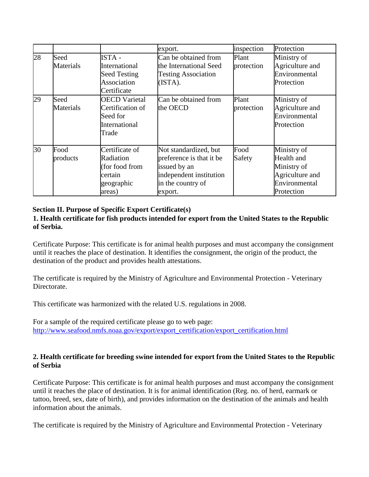|    |                   |                                                                                    | export.                                                                                                                      | inspection          | Protection                                                                                 |
|----|-------------------|------------------------------------------------------------------------------------|------------------------------------------------------------------------------------------------------------------------------|---------------------|--------------------------------------------------------------------------------------------|
| 28 | Seed<br>Materials | <b>ISTA-</b><br>International<br><b>Seed Testing</b><br>Association<br>Certificate | Can be obtained from<br>the International Seed<br><b>Testing Association</b><br>(ISTA).                                      | Plant<br>protection | Ministry of<br>Agriculture and<br>Environmental<br>Protection                              |
| 29 | Seed<br>Materials | <b>OECD Varietal</b><br>Certification of<br>Seed for<br>International<br>Trade     | Can be obtained from<br>the OECD                                                                                             | Plant<br>protection | Ministry of<br>Agriculture and<br>Environmental<br>Protection                              |
| 30 | Food<br>products  | Certificate of<br>Radiation<br>(for food from<br>certain<br>geographic<br>areas)   | Not standardized, but<br>preference is that it be<br>issued by an<br>independent institution<br>in the country of<br>export. | Food<br>Safety      | Ministry of<br>Health and<br>Ministry of<br>Agriculture and<br>Environmental<br>Protection |

## **Section II. Purpose of Specific Export Certificate(s)**

## **1. Health certificate for fish products intended for export from the United States to the Republic of Serbia.**

Certificate Purpose: This certificate is for animal health purposes and must accompany the consignment until it reaches the place of destination. It identifies the consignment, the origin of the product, the destination of the product and provides health attestations.

The certificate is required by the Ministry of Agriculture and Environmental Protection - Veterinary **Directorate** 

This certificate was harmonized with the related U.S. regulations in 2008.

For a sample of the required certificate please go to web page: [http://www.seafood.nmfs.noaa.gov/export/export\\_certification/export\\_certification.html](http://www.seafood.nmfs.noaa.gov/export/export_certification/export_certification.html)

## **2. Health certificate for breeding swine intended for export from the United States to the Republic of Serbia**

Certificate Purpose: This certificate is for animal health purposes and must accompany the consignment until it reaches the place of destination. It is for animal identification (Reg. no. of herd, earmark or tattoo, breed, sex, date of birth), and provides information on the destination of the animals and health information about the animals.

The certificate is required by the Ministry of Agriculture and Environmental Protection - Veterinary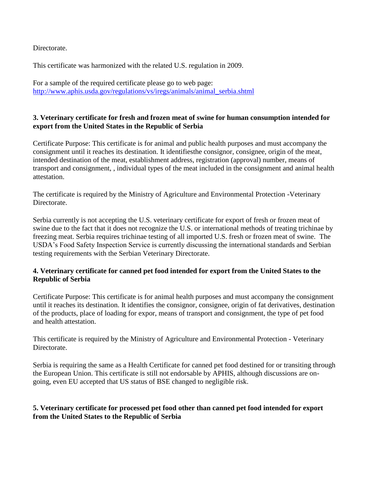Directorate.

This certificate was harmonized with the related U.S. regulation in 2009.

For a sample of the required certificate please go to web page: [http://www.aphis.usda.gov/regulations/vs/iregs/animals/animal\\_serbia.shtml](http://www.aphis.usda.gov/regulations/vs/iregs/animals/animal_serbia.shtml)

## **3. Veterinary certificate for fresh and frozen meat of swine for human consumption intended for export from the United States in the Republic of Serbia**

Certificate Purpose: This certificate is for animal and public health purposes and must accompany the consignment until it reaches its destination. It identifiesthe consignor, consignee, origin of the meat, intended destination of the meat, establishment address, registration (approval) number, means of transport and consignment, , individual types of the meat included in the consignment and animal health attestation.

The certificate is required by the Ministry of Agriculture and Environmental Protection -Veterinary Directorate.

Serbia currently is not accepting the U.S. veterinary certificate for export of fresh or frozen meat of swine due to the fact that it does not recognize the U.S. or international methods of treating trichinae by freezing meat. Serbia requires trichinae testing of all imported U.S. fresh or frozen meat of swine. The USDA's Food Safety Inspection Service is currently discussing the international standards and Serbian testing requirements with the Serbian Veterinary Directorate.

#### **4. Veterinary certificate for canned pet food intended for export from the United States to the Republic of Serbia**

Certificate Purpose: This certificate is for animal health purposes and must accompany the consignment until it reaches its destination. It identifies the consignor, consignee, origin of fat derivatives, destination of the products, place of loading for expor, means of transport and consignment, the type of pet food and health attestation.

This certificate is required by the Ministry of Agriculture and Environmental Protection - Veterinary Directorate.

Serbia is requiring the same as a Health Certificate for canned pet food destined for or transiting through the European Union. This certificate is still not endorsable by APHIS, although discussions are ongoing, even EU accepted that US status of BSE changed to negligible risk.

## **5. Veterinary certificate for processed pet food other than canned pet food intended for export from the United States to the Republic of Serbia**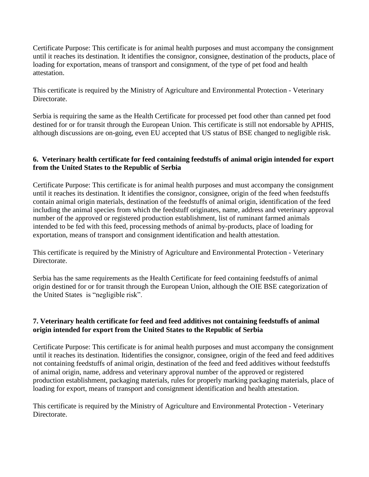Certificate Purpose: This certificate is for animal health purposes and must accompany the consignment until it reaches its destination. It identifies the consignor, consignee, destination of the products, place of loading for exportation, means of transport and consignment, of the type of pet food and health attestation.

This certificate is required by the Ministry of Agriculture and Environmental Protection - Veterinary Directorate.

Serbia is requiring the same as the Health Certificate for processed pet food other than canned pet food destined for or for transit through the European Union. This certificate is still not endorsable by APHIS, although discussions are on-going, even EU accepted that US status of BSE changed to negligible risk.

## **6. Veterinary health certificate for feed containing feedstuffs of animal origin intended for export from the United States to the Republic of Serbia**

Certificate Purpose: This certificate is for animal health purposes and must accompany the consignment until it reaches its destination. It identifies the consignor, consignee, origin of the feed when feedstuffs contain animal origin materials, destination of the feedstuffs of animal origin, identification of the feed including the animal species from which the feedstuff originates, name, address and veterinary approval number of the approved or registered production establishment, list of ruminant farmed animals intended to be fed with this feed, processing methods of animal by-products, place of loading for exportation, means of transport and consignment identification and health attestation.

This certificate is required by the Ministry of Agriculture and Environmental Protection - Veterinary Directorate.

Serbia has the same requirements as the Health Certificate for feed containing feedstuffs of animal origin destined for or for transit through the European Union, although the OIE BSE categorization of the United States is "negligible risk".

## **7. Veterinary health certificate for feed and feed additives not containing feedstuffs of animal origin intended for export from the United States to the Republic of Serbia**

Certificate Purpose: This certificate is for animal health purposes and must accompany the consignment until it reaches its destination. Itidentifies the consignor, consignee, origin of the feed and feed additives not containing feedstuffs of animal origin, destination of the feed and feed additives without feedstuffs of animal origin, name, address and veterinary approval number of the approved or registered production establishment, packaging materials, rules for properly marking packaging materials, place of loading for export, means of transport and consignment identification and health attestation.

This certificate is required by the Ministry of Agriculture and Environmental Protection - Veterinary Directorate.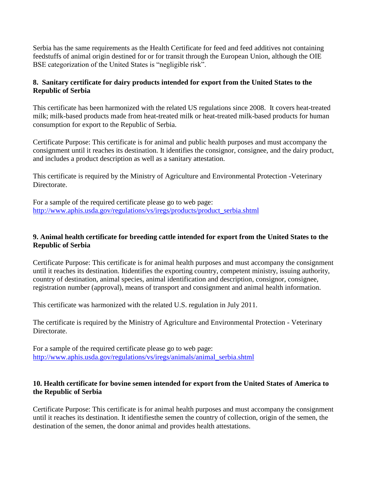Serbia has the same requirements as the Health Certificate for feed and feed additives not containing feedstuffs of animal origin destined for or for transit through the European Union, although the OIE BSE categorization of the United States is "negligible risk".

## **8. Sanitary certificate for dairy products intended for export from the United States to the Republic of Serbia**

This certificate has been harmonized with the related US regulations since 2008. It covers heat-treated milk; milk-based products made from heat-treated milk or heat-treated milk-based products for human consumption for export to the Republic of Serbia.

Certificate Purpose: This certificate is for animal and public health purposes and must accompany the consignment until it reaches its destination. It identifies the consignor, consignee, and the dairy product, and includes a product description as well as a sanitary attestation.

This certificate is required by the Ministry of Agriculture and Environmental Protection -Veterinary Directorate.

For a sample of the required certificate please go to web page: [http://www.aphis.usda.gov/regulations/vs/iregs/products/product\\_serbia.shtml](http://www.aphis.usda.gov/regulations/vs/iregs/products/product_serbia.shtml)

#### **9. Animal health certificate for breeding cattle intended for export from the United States to the Republic of Serbia**

Certificate Purpose: This certificate is for animal health purposes and must accompany the consignment until it reaches its destination. Itidentifies the exporting country, competent ministry, issuing authority, country of destination, animal species, animal identification and description, consignor, consignee, registration number (approval), means of transport and consignment and animal health information.

This certificate was harmonized with the related U.S. regulation in July 2011.

The certificate is required by the Ministry of Agriculture and Environmental Protection - Veterinary Directorate.

For a sample of the required certificate please go to web page: [http://www.aphis.usda.gov/regulations/vs/iregs/animals/animal\\_serbia.shtml](http://www.aphis.usda.gov/regulations/vs/iregs/animals/animal_serbia.shtml)

## **10. Health certificate for bovine semen intended for export from the United States of America to the Republic of Serbia**

Certificate Purpose: This certificate is for animal health purposes and must accompany the consignment until it reaches its destination. It identifiesthe semen the country of collection, origin of the semen, the destination of the semen, the donor animal and provides health attestations.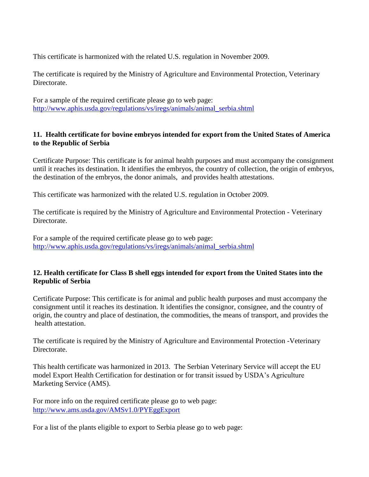This certificate is harmonized with the related U.S. regulation in November 2009.

The certificate is required by the Ministry of Agriculture and Environmental Protection, Veterinary Directorate.

For a sample of the required certificate please go to web page: [http://www.aphis.usda.gov/regulations/vs/iregs/animals/animal\\_serbia.shtml](http://www.aphis.usda.gov/regulations/vs/iregs/animals/animal_serbia.shtml)

## **11. Health certificate for bovine embryos intended for export from the United States of America to the Republic of Serbia**

Certificate Purpose: This certificate is for animal health purposes and must accompany the consignment until it reaches its destination. It identifies the embryos, the country of collection, the origin of embryos, the destination of the embryos, the donor animals, and provides health attestations.

This certificate was harmonized with the related U.S. regulation in October 2009.

The certificate is required by the Ministry of Agriculture and Environmental Protection - Veterinary Directorate.

For a sample of the required certificate please go to web page: [http://www.aphis.usda.gov/regulations/vs/iregs/animals/animal\\_serbia.shtml](http://www.aphis.usda.gov/regulations/vs/iregs/animals/animal_serbia.shtml)

## **12. Health certificate for Class B shell eggs intended for export from the United States into the Republic of Serbia**

Certificate Purpose: This certificate is for animal and public health purposes and must accompany the consignment until it reaches its destination. It identifies the consignor, consignee, and the country of origin, the country and place of destination, the commodities, the means of transport, and provides the health attestation.

The certificate is required by the Ministry of Agriculture and Environmental Protection -Veterinary Directorate.

This health certificate was harmonized in 2013. The Serbian Veterinary Service will accept the EU model Export Health Certification for destination or for transit issued by USDA's Agriculture Marketing Service (AMS).

For more info on the required certificate please go to web page: <http://www.ams.usda.gov/AMSv1.0/PYEggExport>

For a list of the plants eligible to export to Serbia please go to web page: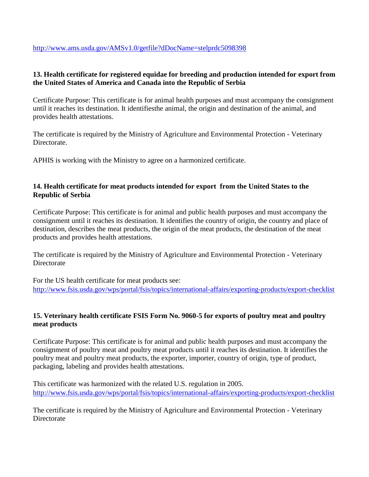<http://www.ams.usda.gov/AMSv1.0/getfile?dDocName=stelprdc5098398>

## **13. Health certificate for registered equidae for breeding and production intended for export from the United States of America and Canada into the Republic of Serbia**

Certificate Purpose: This certificate is for animal health purposes and must accompany the consignment until it reaches its destination. It identifiesthe animal, the origin and destination of the animal, and provides health attestations.

The certificate is required by the Ministry of Agriculture and Environmental Protection - Veterinary Directorate.

APHIS is working with the Ministry to agree on a harmonized certificate.

## **14. Health certificate for meat products intended for export from the United States to the Republic of Serbia**

Certificate Purpose: This certificate is for animal and public health purposes and must accompany the consignment until it reaches its destination. It identifies the country of origin, the country and place of destination, describes the meat products, the origin of the meat products, the destination of the meat products and provides health attestations.

The certificate is required by the Ministry of Agriculture and Environmental Protection - Veterinary **Directorate** 

For the US health certificate for meat products see: <http://www.fsis.usda.gov/wps/portal/fsis/topics/international-affairs/exporting-products/export-checklist>

## **15. Veterinary health certificate FSIS Form No. 9060-5 for exports of poultry meat and poultry meat products**

Certificate Purpose: This certificate is for animal and public health purposes and must accompany the consignment of poultry meat and poultry meat products until it reaches its destination. It identifies the poultry meat and poultry meat products, the exporter, importer, country of origin, type of product, packaging, labeling and provides health attestations.

This certificate was harmonized with the related U.S. regulation in 2005. <http://www.fsis.usda.gov/wps/portal/fsis/topics/international-affairs/exporting-products/export-checklist>

The certificate is required by the Ministry of Agriculture and Environmental Protection - Veterinary **Directorate**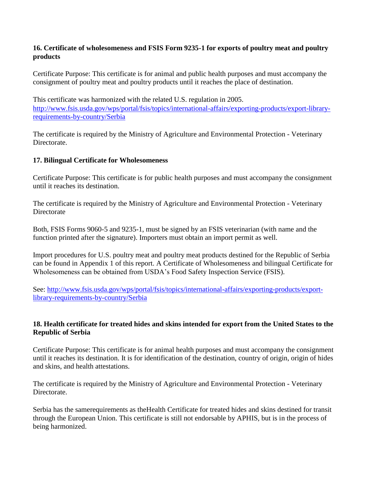## **16. Certificate of wholesomeness and FSIS Form 9235-1 for exports of poultry meat and poultry products**

Certificate Purpose: This certificate is for animal and public health purposes and must accompany the consignment of poultry meat and poultry products until it reaches the place of destination.

This certificate was harmonized with the related U.S. regulation in 2005. [http://www.fsis.usda.gov/wps/portal/fsis/topics/international-affairs/exporting-products/export-library](http://www.fsis.usda.gov/wps/portal/fsis/topics/international-affairs/exporting-products/export-library-requirements-by-country/Serbia)[requirements-by-country/Serbia](http://www.fsis.usda.gov/wps/portal/fsis/topics/international-affairs/exporting-products/export-library-requirements-by-country/Serbia)

The certificate is required by the Ministry of Agriculture and Environmental Protection - Veterinary Directorate.

## **17. Bilingual Certificate for Wholesomeness**

Certificate Purpose: This certificate is for public health purposes and must accompany the consignment until it reaches its destination.

The certificate is required by the Ministry of Agriculture and Environmental Protection - Veterinary **Directorate** 

Both, FSIS Forms 9060-5 and 9235-1, must be signed by an FSIS veterinarian (with name and the function printed after the signature). Importers must obtain an import permit as well.

Import procedures for U.S. poultry meat and poultry meat products destined for the Republic of Serbia can be found in Appendix 1 of this report. A Certificate of Wholesomeness and bilingual Certificate for Wholesomeness can be obtained from USDA's Food Safety Inspection Service (FSIS).

See: [http://www.fsis.usda.gov/wps/portal/fsis/topics/international-affairs/exporting-products/export](http://www.fsis.usda.gov/wps/portal/fsis/topics/international-affairs/exporting-products/export-library-requirements-by-country/Serbia)[library-requirements-by-country/Serbia](http://www.fsis.usda.gov/wps/portal/fsis/topics/international-affairs/exporting-products/export-library-requirements-by-country/Serbia)

## **18. Health certificate for treated hides and skins intended for export from the United States to the Republic of Serbia**

Certificate Purpose: This certificate is for animal health purposes and must accompany the consignment until it reaches its destination. It is for identification of the destination, country of origin, origin of hides and skins, and health attestations.

The certificate is required by the Ministry of Agriculture and Environmental Protection - Veterinary Directorate.

Serbia has the samerequirements as theHealth Certificate for treated hides and skins destined for transit through the European Union. This certificate is still not endorsable by APHIS, but is in the process of being harmonized.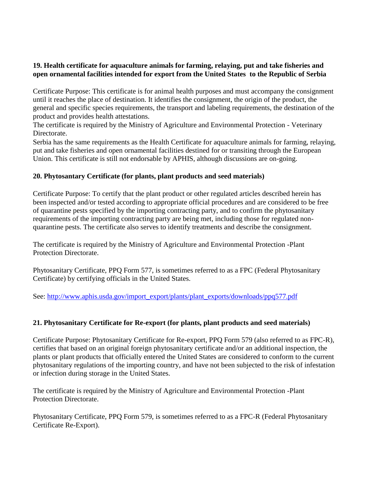## **19. Health certificate for aquaculture animals for farming, relaying, put and take fisheries and open ornamental facilities intended for export from the United States to the Republic of Serbia**

Certificate Purpose: This certificate is for animal health purposes and must accompany the consignment until it reaches the place of destination. It identifies the consignment, the origin of the product, the general and specific species requirements, the transport and labeling requirements, the destination of the product and provides health attestations.

The certificate is required by the Ministry of Agriculture and Environmental Protection - Veterinary Directorate.

Serbia has the same requirements as the Health Certificate for aquaculture animals for farming, relaying, put and take fisheries and open ornamental facilities destined for or transiting through the European Union. This certificate is still not endorsable by APHIS, although discussions are on-going.

## **20. Phytosantary Certificate (for plants, plant products and seed materials)**

Certificate Purpose: To certify that the plant product or other regulated articles described herein has been inspected and/or tested according to appropriate official procedures and are considered to be free of quarantine pests specified by the importing contracting party, and to confirm the phytosanitary requirements of the importing contracting party are being met, including those for regulated nonquarantine pests. The certificate also serves to identify treatments and describe the consignment.

The certificate is required by the Ministry of Agriculture and Environmental Protection -Plant Protection Directorate.

Phytosanitary Certificate, PPQ Form 577, is sometimes referred to as a FPC (Federal Phytosanitary Certificate) by certifying officials in the United States.

See: [http://www.aphis.usda.gov/import\\_export/plants/plant\\_exports/downloads/ppq577.pdf](http://www.aphis.usda.gov/import_export/plants/plant_exports/downloads/ppq577.pdf)

## **21. Phytosanitary Certificate for Re-export (for plants, plant products and seed materials)**

Certificate Purpose: Phytosanitary Certificate for Re-export, PPQ Form 579 (also referred to as FPC-R), certifies that based on an original foreign phytosanitary certificate and/or an additional inspection, the plants or plant products that officially entered the United States are considered to conform to the current phytosanitary regulations of the importing country, and have not been subjected to the risk of infestation or infection during storage in the United States.

The certificate is required by the Ministry of Agriculture and Environmental Protection -Plant Protection Directorate.

Phytosanitary Certificate, PPQ Form 579, is sometimes referred to as a FPC-R (Federal Phytosanitary Certificate Re-Export).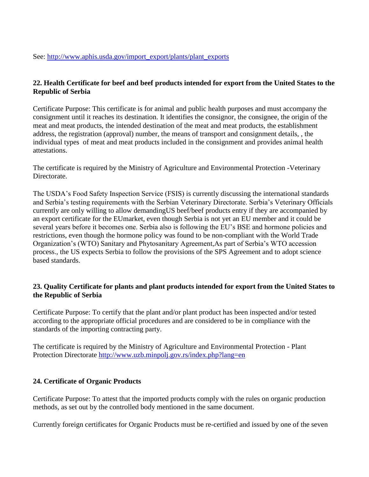## **22. Health Certificate for beef and beef products intended for export from the United States to the Republic of Serbia**

Certificate Purpose: This certificate is for animal and public health purposes and must accompany the consignment until it reaches its destination. It identifies the consignor, the consignee, the origin of the meat and meat products, the intended destination of the meat and meat products, the establishment address, the registration (approval) number, the means of transport and consignment details, , the individual types of meat and meat products included in the consignment and provides animal health attestations.

The certificate is required by the Ministry of Agriculture and Environmental Protection -Veterinary Directorate.

The USDA's Food Safety Inspection Service (FSIS) is currently discussing the international standards and Serbia's testing requirements with the Serbian Veterinary Directorate. Serbia's Veterinary Officials currently are only willing to allow demandingUS beef/beef products entry if they are accompanied by an export certificate for the EUmarket, even though Serbia is not yet an EU member and it could be several years before it becomes one. Serbia also is following the EU's BSE and hormone policies and restrictions, even though the hormone policy was found to be non-compliant with the World Trade Organization's (WTO) Sanitary and Phytosanitary Agreement,As part of Serbia's WTO accession process., the US expects Serbia to follow the provisions of the SPS Agreement and to adopt science based standards.

## **23. Quality Certificate for plants and plant products intended for export from the United States to the Republic of Serbia**

Certificate Purpose: To certify that the plant and/or plant product has been inspected and/or tested according to the appropriate official procedures and are considered to be in compliance with the standards of the importing contracting party.

The certificate is required by the Ministry of Agriculture and Environmental Protection - Plant Protection Directorate<http://www.uzb.minpolj.gov.rs/index.php?lang=en>

## **24. Certificate of Organic Products**

Certificate Purpose: To attest that the imported products comply with the rules on organic production methods, as set out by the controlled body mentioned in the same document.

Currently foreign certificates for Organic Products must be re-certified and issued by one of the seven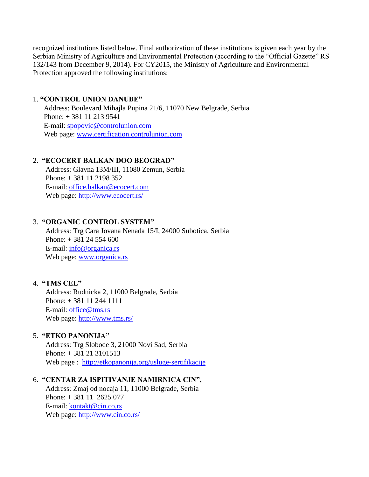recognized institutions listed below. Final authorization of these institutions is given each year by the Serbian Ministry of Agriculture and Environmental Protection (according to the "Official Gazette" RS 132/143 from December 9, 2014). For CY2015, the Ministry of Agriculture and Environmental Protection approved the following institutions:

#### 1. **"CONTROL UNION DANUBE"**

 Address: Boulevard Mihajla Pupina 21/6, 11070 New Belgrade, Serbia Phone: + 381 11 213 9541 E-mail: [spopovic@controlunion.com](mailto:spopovic@controlunion.com) Web page: [www.certification.controlunion.com](http://www.certification.controlunion.com/)

## 2. **"ECOCERT BALKAN DOO BEOGRAD"**

 Address: Glavna 13M/III, 11080 Zemun, Serbia Phone: + 381 11 2198 352 E-mail: [office.balkan@ecocert.com](mailto:office.balkan@ecocert.com) Web page:<http://www.ecocert.rs/>

#### 3. **"ОRGANIC CONTROL SYSTEM"**

 Address: Trg Cara Jovana Nenada 15/I, 24000 Subotica, Serbia Phone: + 381 24 554 600 E-mail: [info@organica.rs](mailto:info@organica.rs) Web page: [www.organica.rs](http://www.organica.rs/)

## 4. **"TMS CEE"**

 Address: Rudnicka 2, 11000 Belgrade, Serbia Phone: + 381 11 244 1111 E-mail: [office@tms.rs](mailto:office@tms.rs) Web page:<http://www.tms.rs/>

## 5. **"ETKO PANONIJA"**

 Address: Trg Slobode 3, 21000 Novi Sad, Serbia Phone: + 381 21 3101513 Web page : <http://etkopanonija.org/usluge-sertifikacije>

#### 6. **"CENTAR ZA ISPITIVANJE NAMIRNICA CIN",**

 Address: Zmaj od nocaja 11, 11000 Belgrade, Serbia Phone: + 381 11 2625 077 E-mail: [kontakt@cin.co.rs](mailto:kontakt@cin.co.rs) Web page:<http://www.cin.co.rs/>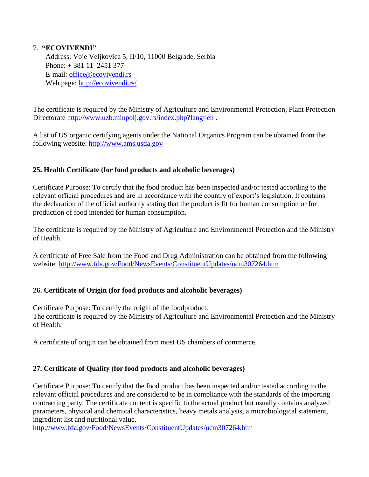## 7. **"ECOVIVENDI"**

 Address: Voje Veljkovica 5, II/10, 11000 Belgrade, Serbia Phone: + 381 11 2451 377 E-mail: [office@ecovivendi.rs](mailto:office@ecovivendi.rs) Web page:<http://ecovivendi.rs/>

The certificate is required by the Ministry of Agriculture and Environmental Protection, Plant Protection Directorate http://www.uzb.minpoli.gov.rs/index.php?lang=en.

A list of US organic certifying agents under the National Organics Program can be obtained from the following website: [http://www.ams.usda.gov](http://www.ams.usda.gov/)

## **25. Health Certificate (for food products and alcoholic beverages)**

Certificate Purpose: To certify that the food product has been inspected and/or tested according to the relevant official procedures and are in accordance with the country of export's legislation. It contains the declaration of the official authority stating that the product is fit for human consumption or for production of food intended for human consumption.

The certificate is required by the Ministry of Agriculture and Environmental Protection and the Ministry of Health.

A certificate of Free Sale from the Food and Drug Administration can be obtained from the following website:<http://www.fda.gov/Food/NewsEvents/ConstituentUpdates/ucm307264.htm>

## **26. Certificate of Origin (for food products and alcoholic beverages)**

Certificate Purpose: To certify the origin of the foodproduct. The certificate is required by the Ministry of Agriculture and Environmental Protection and the Ministry of Health.

A certificate of origin can be obtained from most US chambers of commerce.

## **27. Certificate of Quality (for food products and alcoholic beverages)**

Certificate Purpose: To certify that the food product has been inspected and/or tested according to the relevant official procedures and are considered to be in compliance with the standards of the importing contracting party. The certificate content is specific to the actual product but usually contains analyzed parameters, physical and chemical characteristics, heavy metals analysis, a microbiological statement, ingredient list and nutritional value.

<http://www.fda.gov/Food/NewsEvents/ConstituentUpdates/ucm307264.htm>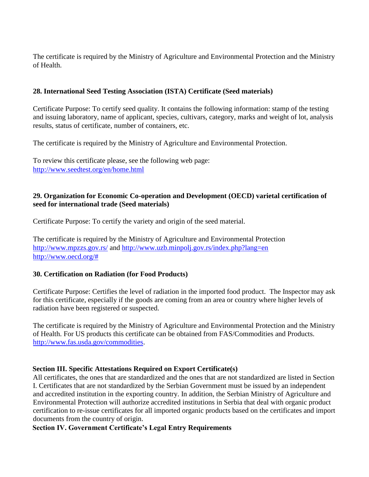The certificate is required by the Ministry of Agriculture and Environmental Protection and the Ministry of Health.

## **28. International Seed Testing Association (ISTA) Certificate (Seed materials)**

Certificate Purpose: To certify seed quality. It contains the following information: stamp of the testing and issuing laboratory, name of applicant, species, cultivars, category, marks and weight of lot, analysis results, status of certificate, number of containers, etc.

The certificate is required by the Ministry of Agriculture and Environmental Protection.

To review this certificate please, see the following web page: <http://www.seedtest.org/en/home.html>

## **29. Organization for Economic Co-operation and Development (OECD) varietal certification of seed for international trade (Seed materials)**

Certificate Purpose: To certify the variety and origin of the seed material.

The certificate is required by the Ministry of Agriculture and Environmental Protection <http://www.mpzzs.gov.rs/> and<http://www.uzb.minpolj.gov.rs/index.php?lang=en> [http://www.oecd.org/#](http://www.oecd.org/)

## **30. Certification on Radiation (for Food Products)**

Certificate Purpose: Certifies the level of radiation in the imported food product. The Inspector may ask for this certificate, especially if the goods are coming from an area or country where higher levels of radiation have been registered or suspected.

The certificate is required by the Ministry of Agriculture and Environmental Protection and the Ministry of Health. For US products this certificate can be obtained from FAS/Commodities and Products. [http://www.fas.usda.gov/commodities.](http://www.fas.usda.gov/commodities)

## **Section III. Specific Attestations Required on Export Certificate(s)**

All certificates, the ones that are standardized and the ones that are not standardized are listed in Section I. Certificates that are not standardized by the Serbian Government must be issued by an independent and accredited institution in the exporting country. In addition, the Serbian Ministry of Agriculture and Environmental Protection will authorize accredited institutions in Serbia that deal with organic product certification to re-issue certificates for all imported organic products based on the certificates and import documents from the country of origin.

## **Section IV. Government Certificate's Legal Entry Requirements**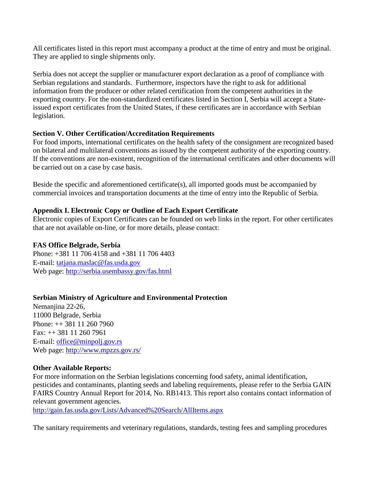All certificates listed in this report must accompany a product at the time of entry and must be original. They are applied to single shipments only.

Serbia does not accept the supplier or manufacturer export declaration as a proof of compliance with Serbian regulations and standards. Furthermore, inspectors have the right to ask for additional information from the producer or other related certification from the competent authorities in the exporting country. For the non-standardized certificates listed in Section I, Serbia will accept a Stateissued export certificates from the United States, if these certificates are in accordance with Serbian legislation.

#### **Section V. Other Certification/Accreditation Requirements**

For food imports, international certificates on the health safety of the consignment are recognized based on bilateral and multilateral conventions as issued by the competent authority of the exporting country. If the conventions are non-existent, recognition of the international certificates and other documents will be carried out on a case by case basis.

Beside the specific and aforementioned certificate(s), all imported goods must be accompanied by commercial invoices and transportation documents at the time of entry into the Republic of Serbia.

## **Appendix I. Electronic Copy or Outline of Each Export Certificate**

Electronic copies of Export Certificates can be founded on web links in the report. For other certificates that are not available on-line, or for more details, please contact:

## **FAS Office Belgrade, Serbia**

Phone: +381 11 706 4158 and +381 11 706 4403 E-mail: [tatjana.maslac@fas.usda.gov](mailto:tatjana.maslac@fas.usda.gov) Web page:<http://serbia.usembassy.gov/fas.html>

## **Serbian Ministry of Agriculture and Environmental Protection**

Nemanjina 22-26, 11000 Belgrade, Serbia Phone: ++ 381 11 260 7960 Fax: ++ 381 11 260 7961 E-mail: [office@minpolj.gov.rs](mailto:office@minpolj.gov.rs) Web page:<http://www.mpzzs.gov.rs/>

## **Other Available Reports:**

For more information on the Serbian legislations concerning food safety, animal identification, pesticides and contaminants, planting seeds and labeling requirements, please refer to the Serbia GAIN FAIRS Country Annual Report for 2014, No. RB1413. This report also contains contact information of relevant government agencies.

<http://gain.fas.usda.gov/Lists/Advanced%20Search/AllItems.aspx>

The sanitary requirements and veterinary regulations, standards, testing fees and sampling procedures